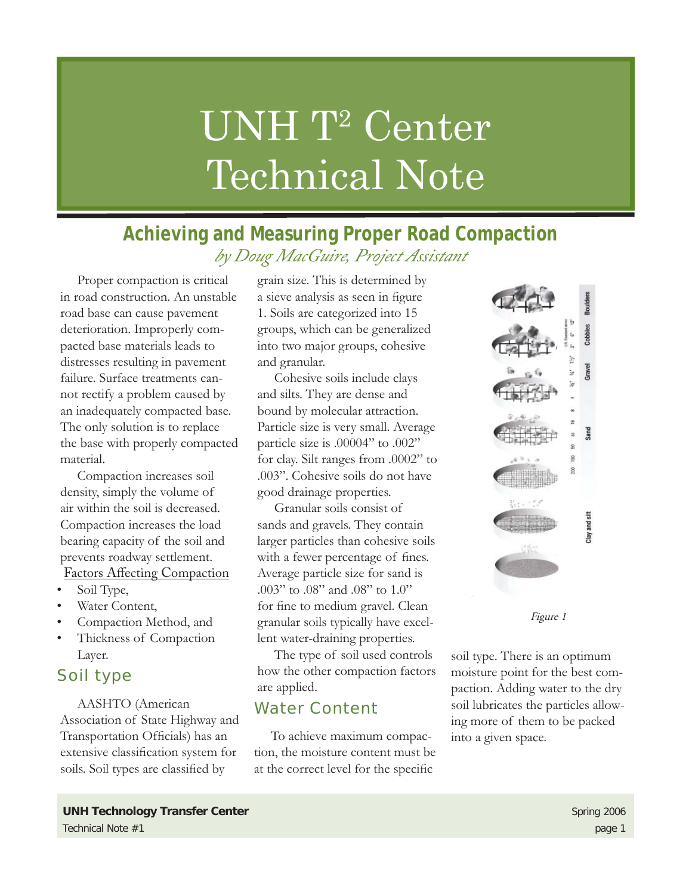# UNH T<sup>2</sup> Center Technical Note

## **Achieving and Measuring Proper Road Compaction** *by Doug MacGuire, Project Assistant*

Proper compaction is critical in road construction. An unstable road base can cause pavement deterioration. Improperly compacted base materials leads to distresses resulting in pavement failure. Surface treatments cannot rectify a problem caused by an inadequately compacted base. The only solution is to replace the base with properly compacted material.

Compaction increases soil density, simply the volume of air within the soil is decreased. Compaction increases the load bearing capacity of the soil and prevents roadway settlement. Factors Affecting Compaction

- Soil Type, •
- Water Content, •
- Compaction Method, and •
- Thickness of Compaction Layer. •

## Soil type

AASHTO (American Association of State Highway and Transportation Officials) has an extensive classification system for soils. Soil types are classified by

grain size. This is determined by a sieve analysis as seen in figure 1. Soils are categorized into 15 groups, which can be generalized into two major groups, cohesive and granular.

Cohesive soils include clays and silts. They are dense and bound by molecular attraction. Particle size is very small. Average particle size is .00004" to .002" for clay. Silt ranges from .0002" to .003". Cohesive soils do not have good drainage properties.

Granular soils consist of sands and gravels. They contain larger particles than cohesive soils with a fewer percentage of fines. Average particle size for sand is .003" to .08" and .08" to 1.0" for fine to medium gravel. Clean granular soils typically have excellent water-draining properties.

The type of soil used controls how the other compaction factors are applied.

## Water Content

To achieve maximum compaction, the moisture content must be at the correct level for the specific



Figure 1

soil type. There is an optimum moisture point for the best compaction. Adding water to the dry soil lubricates the particles allowing more of them to be packed into a given space.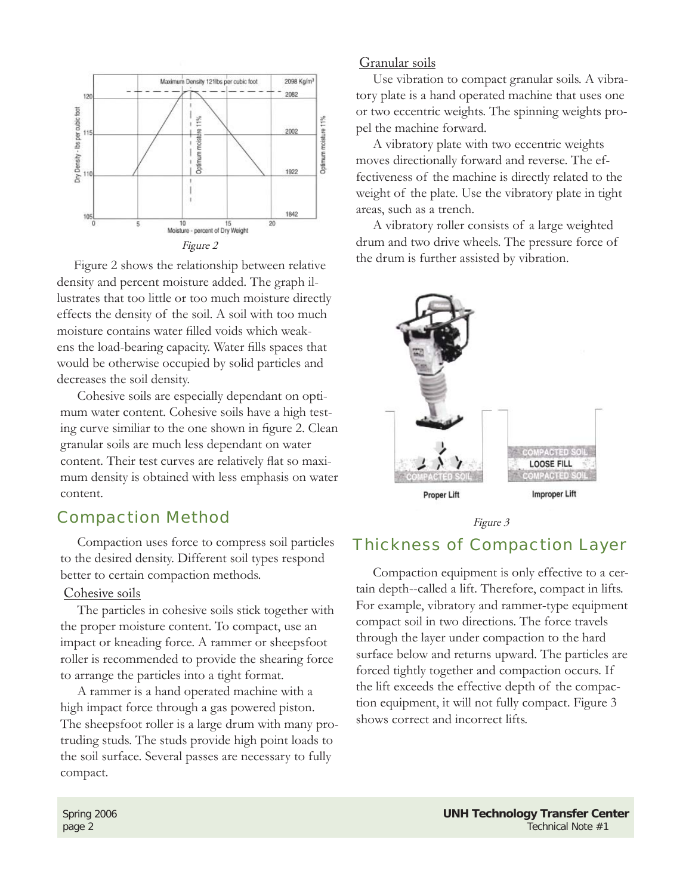

Figure 2 shows the relationship between relative density and percent moisture added. The graph illustrates that too little or too much moisture directly effects the density of the soil. A soil with too much moisture contains water filled voids which weakens the load-bearing capacity. Water fills spaces that would be otherwise occupied by solid particles and decreases the soil density.

Cohesive soils are especially dependant on optimum water content. Cohesive soils have a high testing curve similiar to the one shown in figure 2. Clean granular soils are much less dependant on water content. Their test curves are relatively flat so maximum density is obtained with less emphasis on water content.

## Compaction Method

Compaction uses force to compress soil particles to the desired density. Different soil types respond better to certain compaction methods.

#### Cohesive soils

The particles in cohesive soils stick together with the proper moisture content. To compact, use an impact or kneading force. A rammer or sheepsfoot roller is recommended to provide the shearing force to arrange the particles into a tight format.

A rammer is a hand operated machine with a high impact force through a gas powered piston. The sheepsfoot roller is a large drum with many protruding studs. The studs provide high point loads to the soil surface. Several passes are necessary to fully compact.

#### Granular soils

Use vibration to compact granular soils. A vibratory plate is a hand operated machine that uses one or two eccentric weights. The spinning weights propel the machine forward.

A vibratory plate with two eccentric weights moves directionally forward and reverse. The effectiveness of the machine is directly related to the weight of the plate. Use the vibratory plate in tight areas, such as a trench.

A vibratory roller consists of a large weighted drum and two drive wheels. The pressure force of the drum is further assisted by vibration.



Figure 3

### Thickness of Compaction Layer

Compaction equipment is only effective to a certain depth--called a lift. Therefore, compact in lifts. For example, vibratory and rammer-type equipment compact soil in two directions. The force travels through the layer under compaction to the hard surface below and returns upward. The particles are forced tightly together and compaction occurs. If the lift exceeds the effective depth of the compaction equipment, it will not fully compact. Figure 3 shows correct and incorrect lifts.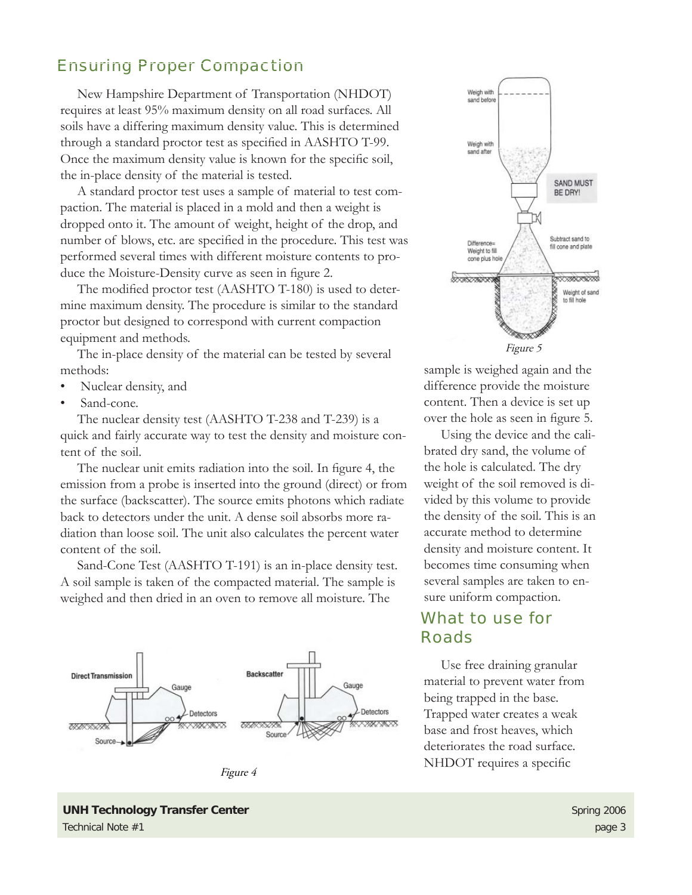## Ensuring Proper Compaction

New Hampshire Department of Transportation (NHDOT) requires at least 95% maximum density on all road surfaces. All soils have a differing maximum density value. This is determined through a standard proctor test as specified in AASHTO T-99. Once the maximum density value is known for the specific soil, the in-place density of the material is tested.

A standard proctor test uses a sample of material to test compaction. The material is placed in a mold and then a weight is dropped onto it. The amount of weight, height of the drop, and number of blows, etc. are specified in the procedure. This test was performed several times with different moisture contents to produce the Moisture-Density curve as seen in figure 2.

The modified proctor test (AASHTO T-180) is used to determine maximum density. The procedure is similar to the standard proctor but designed to correspond with current compaction equipment and methods.

The in-place density of the material can be tested by several methods:

- Nuclear density, and •
- Sand-cone. •

The nuclear density test (AASHTO T-238 and T-239) is a quick and fairly accurate way to test the density and moisture content of the soil.

The nuclear unit emits radiation into the soil. In figure 4, the emission from a probe is inserted into the ground (direct) or from the surface (backscatter). The source emits photons which radiate back to detectors under the unit. A dense soil absorbs more radiation than loose soil. The unit also calculates the percent water content of the soil.

Sand-Cone Test (AASHTO T-191) is an in-place density test. A soil sample is taken of the compacted material. The sample is weighed and then dried in an oven to remove all moisture. The







sample is weighed again and the difference provide the moisture content. Then a device is set up over the hole as seen in figure 5.

Using the device and the calibrated dry sand, the volume of the hole is calculated. The dry weight of the soil removed is divided by this volume to provide the density of the soil. This is an accurate method to determine density and moisture content. It becomes time consuming when several samples are taken to ensure uniform compaction.

## What to use for Roads

Use free draining granular material to prevent water from being trapped in the base. Trapped water creates a weak base and frost heaves, which deteriorates the road surface. NHDOT requires a specific

**UNH Technology Transfer Center <b>Spring 2006** Spring 2006 Technical Note #1 page 3 and the state of the state of the state of the state of the state of the state of the state of the state of the state of the state of the state of the state of the state of the state of the state o